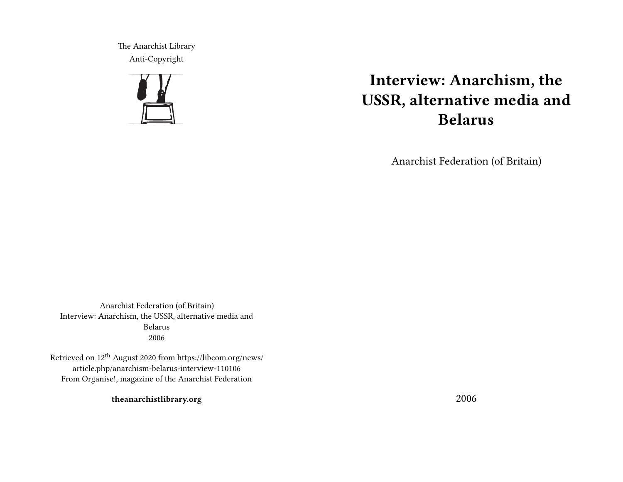The Anarchist Library Anti-Copyright



# **Interview: Anarchism, the USSR, alternative media and Belarus**

Anarchist Federation (of Britain)

Anarchist Federation (of Britain) Interview: Anarchism, the USSR, alternative media and Belarus 2006

Retrieved on 12th August 2020 from https://libcom.org/news/ article.php/anarchism-belarus-interview-110106 From Organise!, magazine of the Anarchist Federation

**theanarchistlibrary.org**

2006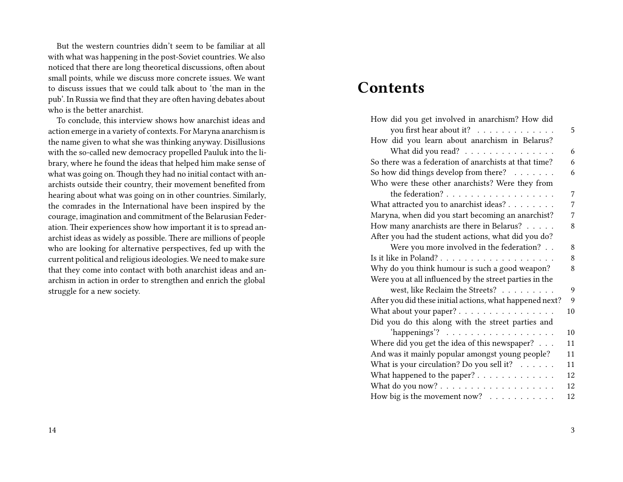But the western countries didn't seem to be familiar at all with what was happening in the post-Soviet countries. We also noticed that there are long theoretical discussions, often about small points, while we discuss more concrete issues. We want to discuss issues that we could talk about to 'the man in the pub'. In Russia we find that they are often having debates about who is the better anarchist.

To conclude, this interview shows how anarchist ideas and action emerge in a variety of contexts. For Maryna anarchism is the name given to what she was thinking anyway. Disillusions with the so-called new democracy propelled Pauluk into the library, where he found the ideas that helped him make sense of what was going on. Though they had no initial contact with anarchists outside their country, their movement benefited from hearing about what was going on in other countries. Similarly, the comrades in the International have been inspired by the courage, imagination and commitment of the Belarusian Federation. Their experiences show how important it is to spread anarchist ideas as widely as possible. There are millions of people who are looking for alternative perspectives, fed up with the current political and religious ideologies. We need to make sure that they come into contact with both anarchist ideas and anarchism in action in order to strengthen and enrich the global struggle for a new society.

## **Contents**

| How did you get involved in anarchism? How did           |    |
|----------------------------------------------------------|----|
| you first hear about it?                                 | 5  |
| How did you learn about anarchism in Belarus?            |    |
| What did you read?                                       | 6  |
| So there was a federation of anarchists at that time?    | 6  |
| So how did things develop from there?                    | 6  |
| Who were these other anarchists? Were they from          |    |
|                                                          | 7  |
| What attracted you to anarchist ideas?                   | 7  |
| Maryna, when did you start becoming an anarchist?        | 7  |
| How many anarchists are there in Belarus?                | 8  |
| After you had the student actions, what did you do?      |    |
| Were you more involved in the federation?                | 8  |
|                                                          | 8  |
| Why do you think humour is such a good weapon?           | 8  |
| Were you at all influenced by the street parties in the  |    |
| west, like Reclaim the Streets?                          | 9  |
| After you did these initial actions, what happened next? | 9  |
| What about your paper?                                   | 10 |
| Did you do this along with the street parties and        |    |
| 'happenings'? $\ldots \ldots \ldots \ldots \ldots$       | 10 |
| Where did you get the idea of this newspaper?            | 11 |
| And was it mainly popular amongst young people?          | 11 |
| What is your circulation? Do you sell it?                | 11 |
| What happened to the paper?                              | 12 |
|                                                          | 12 |
| How big is the movement now? $\ldots \ldots \ldots$      | 12 |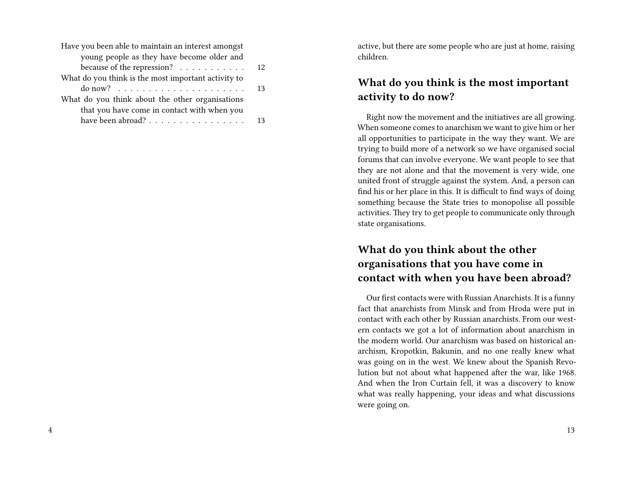| 12                                                           |
|--------------------------------------------------------------|
|                                                              |
| 13                                                           |
|                                                              |
|                                                              |
| have been abroad? $\ldots \ldots \ldots \ldots \ldots$<br>13 |
|                                                              |

active, but there are some people who are just at home, raising children.

## **What do you think is the most important activity to do now?**

Right now the movement and the initiatives are all growing. When someone comes to anarchism we want to give him or her all opportunities to participate in the way they want. We are trying to build more of a network so we have organised social forums that can involve everyone. We want people to see that they are not alone and that the movement is very wide, one united front of struggle against the system. And, a person can find his or her place in this. It is difficult to find ways of doing something because the State tries to monopolise all possible activities. They try to get people to communicate only through state organisations.

## **What do you think about the other organisations that you have come in contact with when you have been abroad?**

Our first contacts were with Russian Anarchists. It is a funny fact that anarchists from Minsk and from Hroda were put in contact with each other by Russian anarchists. From our western contacts we got a lot of information about anarchism in the modern world. Our anarchism was based on historical anarchism, Kropotkin, Bakunin, and no one really knew what was going on in the west. We knew about the Spanish Revolution but not about what happened after the war, like 1968. And when the Iron Curtain fell, it was a discovery to know what was really happening, your ideas and what discussions were going on.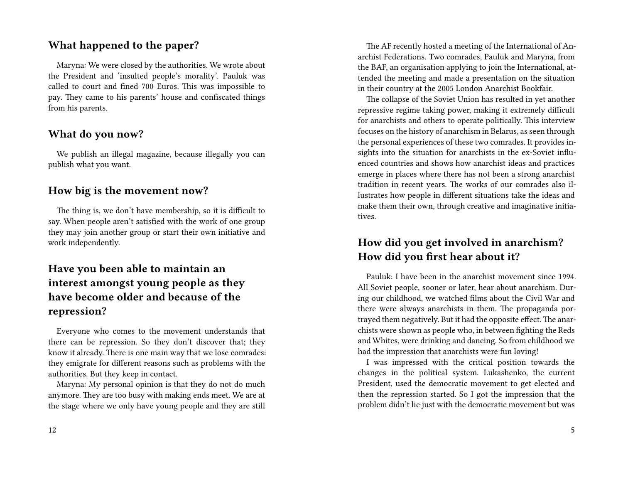#### **What happened to the paper?**

Maryna: We were closed by the authorities. We wrote about the President and 'insulted people's morality'. Pauluk was called to court and fined 700 Euros. This was impossible to pay. They came to his parents' house and confiscated things from his parents.

#### **What do you now?**

We publish an illegal magazine, because illegally you can publish what you want.

#### **How big is the movement now?**

The thing is, we don't have membership, so it is difficult to say. When people aren't satisfied with the work of one group they may join another group or start their own initiative and work independently.

## **Have you been able to maintain an interest amongst young people as they have become older and because of the repression?**

Everyone who comes to the movement understands that there can be repression. So they don't discover that; they know it already. There is one main way that we lose comrades: they emigrate for different reasons such as problems with the authorities. But they keep in contact.

Maryna: My personal opinion is that they do not do much anymore. They are too busy with making ends meet. We are at the stage where we only have young people and they are still

The AF recently hosted a meeting of the International of Anarchist Federations. Two comrades, Pauluk and Maryna, from the BAF, an organisation applying to join the International, attended the meeting and made a presentation on the situation in their country at the 2005 London Anarchist Bookfair.

The collapse of the Soviet Union has resulted in yet another repressive regime taking power, making it extremely difficult for anarchists and others to operate politically. This interview focuses on the history of anarchism in Belarus, as seen through the personal experiences of these two comrades. It provides insights into the situation for anarchists in the ex-Soviet influenced countries and shows how anarchist ideas and practices emerge in places where there has not been a strong anarchist tradition in recent years. The works of our comrades also illustrates how people in different situations take the ideas and make them their own, through creative and imaginative initiatives.

## **How did you get involved in anarchism? How did you first hear about it?**

Pauluk: I have been in the anarchist movement since 1994. All Soviet people, sooner or later, hear about anarchism. During our childhood, we watched films about the Civil War and there were always anarchists in them. The propaganda portrayed them negatively. But it had the opposite effect. The anarchists were shown as people who, in between fighting the Reds and Whites, were drinking and dancing. So from childhood we had the impression that anarchists were fun loving!

I was impressed with the critical position towards the changes in the political system. Lukashenko, the current President, used the democratic movement to get elected and then the repression started. So I got the impression that the problem didn't lie just with the democratic movement but was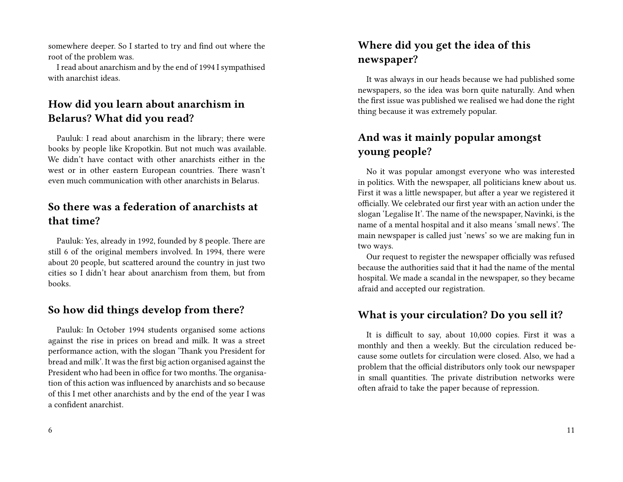somewhere deeper. So I started to try and find out where the root of the problem was.

I read about anarchism and by the end of 1994 I sympathised with anarchist ideas.

## **How did you learn about anarchism in Belarus? What did you read?**

Pauluk: I read about anarchism in the library; there were books by people like Kropotkin. But not much was available. We didn't have contact with other anarchists either in the west or in other eastern European countries. There wasn't even much communication with other anarchists in Belarus.

## **So there was a federation of anarchists at that time?**

Pauluk: Yes, already in 1992, founded by 8 people. There are still 6 of the original members involved. In 1994, there were about 20 people, but scattered around the country in just two cities so I didn't hear about anarchism from them, but from books.

## **So how did things develop from there?**

Pauluk: In October 1994 students organised some actions against the rise in prices on bread and milk. It was a street performance action, with the slogan 'Thank you President for bread and milk'. It was the first big action organised against the President who had been in office for two months. The organisation of this action was influenced by anarchists and so because of this I met other anarchists and by the end of the year I was a confident anarchist.

## **Where did you get the idea of this newspaper?**

It was always in our heads because we had published some newspapers, so the idea was born quite naturally. And when the first issue was published we realised we had done the right thing because it was extremely popular.

## **And was it mainly popular amongst young people?**

No it was popular amongst everyone who was interested in politics. With the newspaper, all politicians knew about us. First it was a little newspaper, but after a year we registered it officially. We celebrated our first year with an action under the slogan 'Legalise It'. The name of the newspaper, Navinki, is the name of a mental hospital and it also means 'small news'. The main newspaper is called just 'news' so we are making fun in two ways.

Our request to register the newspaper officially was refused because the authorities said that it had the name of the mental hospital. We made a scandal in the newspaper, so they became afraid and accepted our registration.

#### **What is your circulation? Do you sell it?**

It is difficult to say, about 10,000 copies. First it was a monthly and then a weekly. But the circulation reduced because some outlets for circulation were closed. Also, we had a problem that the official distributors only took our newspaper in small quantities. The private distribution networks were often afraid to take the paper because of repression.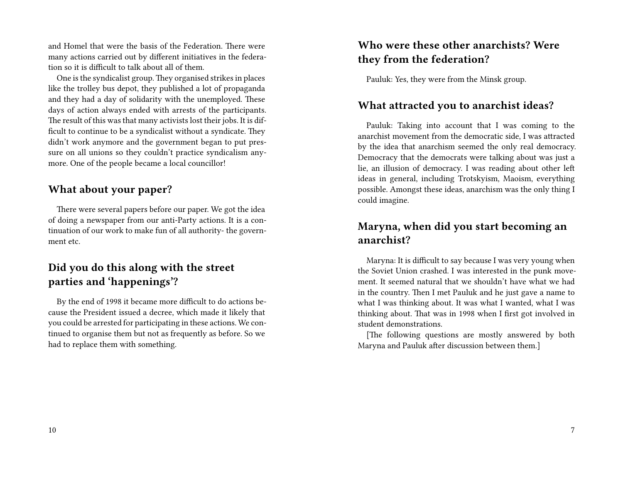and Homel that were the basis of the Federation. There were many actions carried out by different initiatives in the federation so it is difficult to talk about all of them.

One is the syndicalist group. They organised strikes in places like the trolley bus depot, they published a lot of propaganda and they had a day of solidarity with the unemployed. These days of action always ended with arrests of the participants. The result of this was that many activists lost their jobs. It is difficult to continue to be a syndicalist without a syndicate. They didn't work anymore and the government began to put pressure on all unions so they couldn't practice syndicalism anymore. One of the people became a local councillor!

#### **What about your paper?**

There were several papers before our paper. We got the idea of doing a newspaper from our anti-Party actions. It is a continuation of our work to make fun of all authority- the government etc.

## **Did you do this along with the street parties and 'happenings'?**

By the end of 1998 it became more difficult to do actions because the President issued a decree, which made it likely that you could be arrested for participating in these actions. We continued to organise them but not as frequently as before. So we had to replace them with something.

## **Who were these other anarchists? Were they from the federation?**

Pauluk: Yes, they were from the Minsk group.

#### **What attracted you to anarchist ideas?**

Pauluk: Taking into account that I was coming to the anarchist movement from the democratic side, I was attracted by the idea that anarchism seemed the only real democracy. Democracy that the democrats were talking about was just a lie, an illusion of democracy. I was reading about other left ideas in general, including Trotskyism, Maoism, everything possible. Amongst these ideas, anarchism was the only thing I could imagine.

#### **Maryna, when did you start becoming an anarchist?**

Maryna: It is difficult to say because I was very young when the Soviet Union crashed. I was interested in the punk movement. It seemed natural that we shouldn't have what we had in the country. Then I met Pauluk and he just gave a name to what I was thinking about. It was what I wanted, what I was thinking about. That was in 1998 when I first got involved in student demonstrations.

[The following questions are mostly answered by both Maryna and Pauluk after discussion between them.]